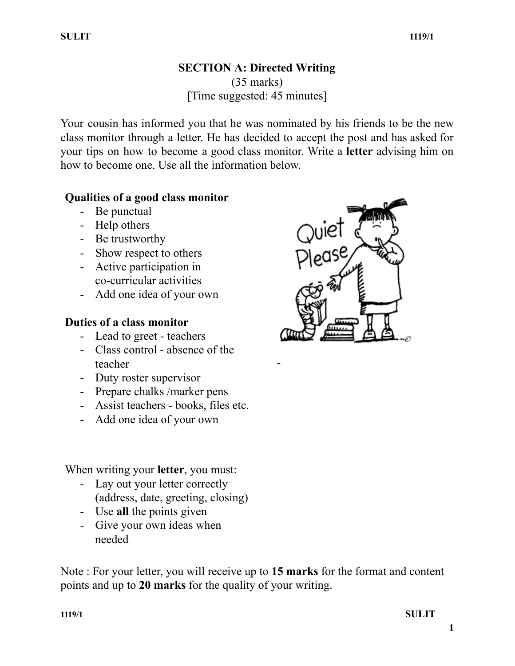#### **SECTION A: Directed Writing** (35 marks) [Time suggested: 45 minutes]

Your cousin has informed you that he was nominated by his friends to be the new class monitor through a letter. He has decided to accept the post and has asked for your tips on how to become a good class monitor. Write a **letter** advising him on how to become one. Use all the information below.

-

## **Qualities of a good class monitor**

- Be punctual
- Help others
- Be trustworthy
- Show respect to others
- Active participation in co-curricular activities
- Add one idea of your own

## **Duties of a class monitor**

- Lead to greet teachers
- Class control absence of the teacher
- Duty roster supervisor
- Prepare chalks /marker pens
- Assist teachers books, files etc.
- Add one idea of your own

When writing your **letter**, you must:

- Lay out your letter correctly (address, date, greeting, closing)
- Use **all** the points given
- Give your own ideas when needed

Note : For your letter, you will receive up to **15 marks** for the format and content points and up to **20 marks** for the quality of your writing.